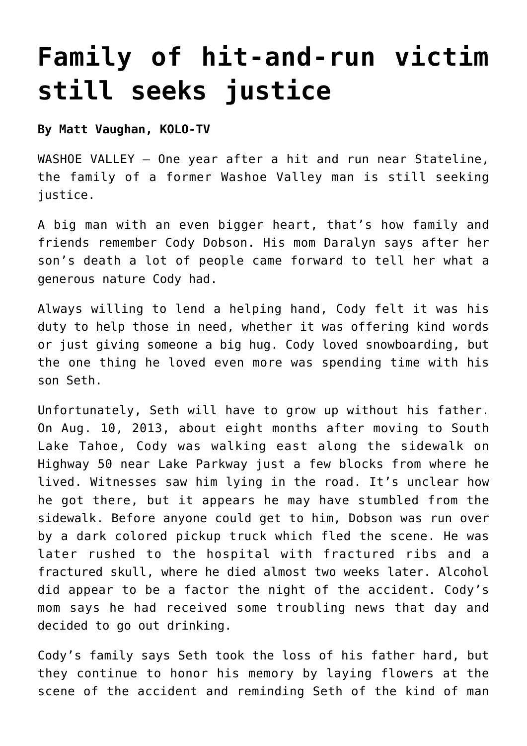## **[Family of hit-and-run victim](https://www.laketahoenews.net/2014/08/family-of-hit-and-run-victim-still-seek-justice/) [still seeks justice](https://www.laketahoenews.net/2014/08/family-of-hit-and-run-victim-still-seek-justice/)**

#### **By Matt Vaughan, KOLO-TV**

WASHOE VALLEY — One year after a hit and run near Stateline, the family of a former Washoe Valley man is still seeking justice.

A big man with an even bigger heart, that's how family and friends remember Cody Dobson. His mom Daralyn says after her son's death a lot of people came forward to tell her what a generous nature Cody had.

Always willing to lend a helping hand, Cody felt it was his duty to help those in need, whether it was offering kind words or just giving someone a big hug. Cody loved snowboarding, but the one thing he loved even more was spending time with his son Seth.

Unfortunately, Seth will have to grow up without his father. On Aug. 10, 2013, about eight months after moving to South Lake Tahoe, Cody was walking east along the sidewalk on Highway 50 near Lake Parkway just a few blocks from where he lived. Witnesses saw him lying in the road. It's unclear how he got there, but it appears he may have stumbled from the sidewalk. Before anyone could get to him, Dobson was run over by a dark colored pickup truck which fled the scene. He was later rushed to the hospital with fractured ribs and a fractured skull, where he died almost two weeks later. Alcohol did appear to be a factor the night of the accident. Cody's mom says he had received some troubling news that day and decided to go out drinking.

Cody's family says Seth took the loss of his father hard, but they continue to honor his memory by laying flowers at the scene of the accident and reminding Seth of the kind of man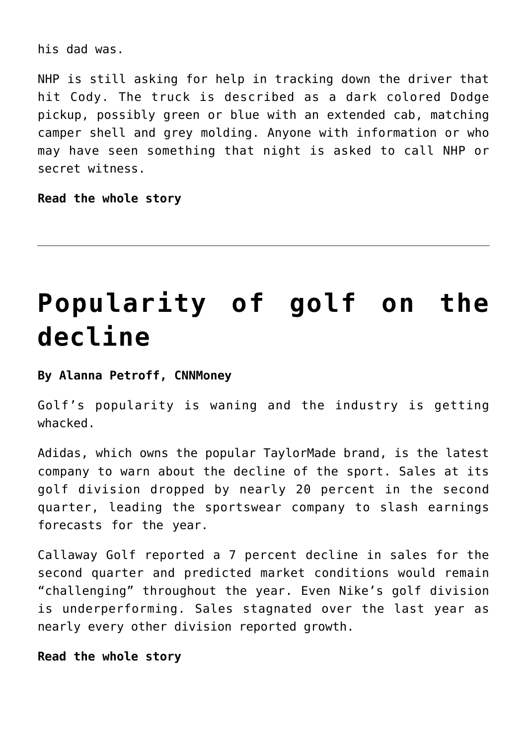his dad was.

NHP is still asking for help in tracking down the driver that hit Cody. The truck is described as a dark colored Dodge pickup, possibly green or blue with an extended cab, matching camper shell and grey molding. Anyone with information or who may have seen something that night is asked to call NHP or secret witness.

**[Read the whole story](http://www.kolotv.com/home/headlines/One-Year-Later-Family-of-Hit-and-Run-Victim-Still-Seek-Justice-270479631.html)**

## **[Popularity of golf on the](https://www.laketahoenews.net/2014/08/popularity-of-golf-on-the-decline/) [decline](https://www.laketahoenews.net/2014/08/popularity-of-golf-on-the-decline/)**

#### **By Alanna Petroff, CNNMoney**

Golf's popularity is waning and the industry is getting whacked.

Adidas, which owns the popular TaylorMade brand, is the latest company to warn about the decline of the sport. Sales at its golf division dropped by nearly 20 percent in the second quarter, leading the sportswear company to slash earnings forecasts for the year.

Callaway Golf reported a 7 percent decline in sales for the second quarter and predicted market conditions would remain "challenging" throughout the year. Even Nike's golf division is underperforming. Sales stagnated over the last year as nearly every other division reported growth.

#### **[Read the whole story](http://money.cnn.com/2014/08/07/investing/golf-sport/index.html)**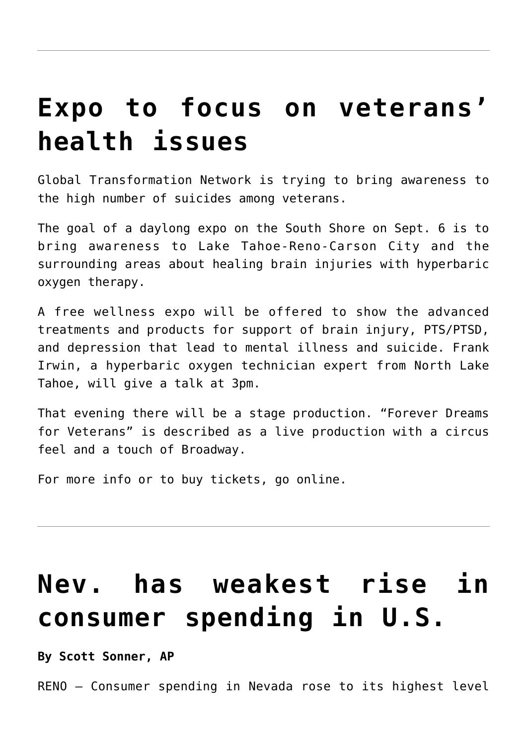### **[Expo to focus on veterans'](https://www.laketahoenews.net/2014/08/expo-to-focus-on-veterans-health-issues/) [health issues](https://www.laketahoenews.net/2014/08/expo-to-focus-on-veterans-health-issues/)**

Global Transformation Network is trying to bring awareness to the high number of suicides among veterans.

The goal of a daylong expo on the South Shore on Sept. 6 is to bring awareness to Lake Tahoe-Reno-Carson City and the surrounding areas about healing brain injuries with hyperbaric oxygen therapy.

A free wellness expo will be offered to show the advanced treatments and products for support of brain injury, PTS/PTSD, and depression that lead to mental illness and suicide. Frank Irwin, a hyperbaric oxygen technician expert from North Lake Tahoe, will give a talk at 3pm.

That evening there will be a stage production. "Forever Dreams for Veterans" is described as a live production with a circus feel and a touch of Broadway.

For more info or to buy tickets, go [online.](http://foreverdreamsforveterans.com/Events/Forever-Dreams-for-Veterans-Sh/forever-dreams-for-veterans-show.html)

# **[Nev. has weakest rise in](https://www.laketahoenews.net/2014/08/nev-has-weakest-rise-in-consumer-spending-in-u-s/) [consumer spending in U.S.](https://www.laketahoenews.net/2014/08/nev-has-weakest-rise-in-consumer-spending-in-u-s/)**

#### **By Scott Sonner, AP**

RENO — Consumer spending in Nevada rose to its highest level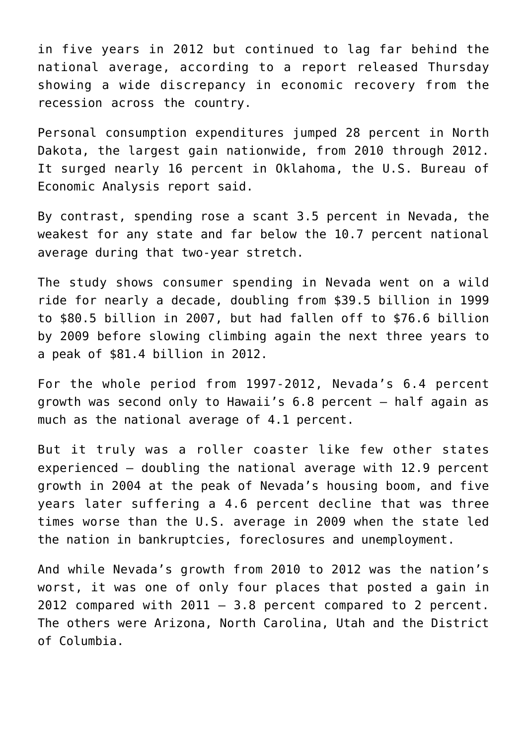in five years in 2012 but continued to lag far behind the national average, according to a report released Thursday showing a wide discrepancy in economic recovery from the recession across the country.

Personal consumption expenditures jumped 28 percent in North Dakota, the largest gain nationwide, from 2010 through 2012. It surged nearly 16 percent in Oklahoma, the U.S. Bureau of Economic Analysis report said.

By contrast, spending rose a scant 3.5 percent in Nevada, the weakest for any state and far below the 10.7 percent national average during that two-year stretch.

The study shows consumer spending in Nevada went on a wild ride for nearly a decade, doubling from \$39.5 billion in 1999 to \$80.5 billion in 2007, but had fallen off to \$76.6 billion by 2009 before slowing climbing again the next three years to a peak of \$81.4 billion in 2012.

For the whole period from 1997-2012, Nevada's 6.4 percent growth was second only to Hawaii's 6.8 percent — half again as much as the national average of 4.1 percent.

But it truly was a roller coaster like few other states experienced — doubling the national average with 12.9 percent growth in 2004 at the peak of Nevada's housing boom, and five years later suffering a 4.6 percent decline that was three times worse than the U.S. average in 2009 when the state led the nation in bankruptcies, foreclosures and unemployment.

And while Nevada's growth from 2010 to 2012 was the nation's worst, it was one of only four places that posted a gain in 2012 compared with  $2011 - 3.8$  percent compared to 2 percent. The others were Arizona, North Carolina, Utah and the District of Columbia.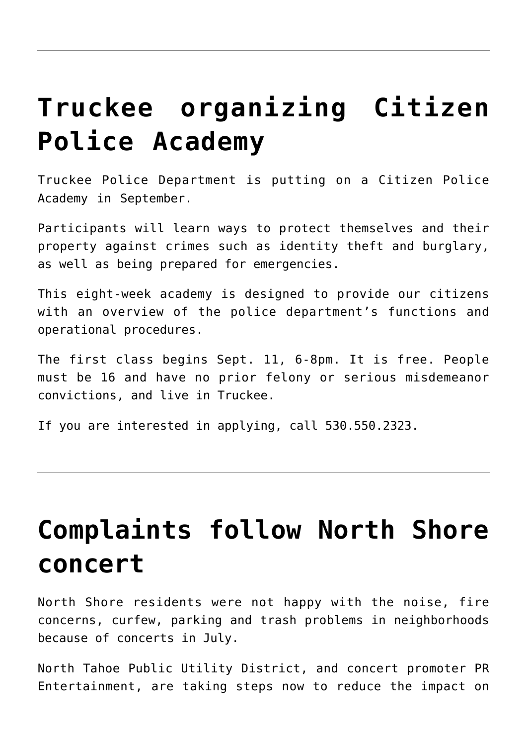## **[Truckee organizing Citizen](https://www.laketahoenews.net/2014/08/truckee-organizing-citizen-police-academy/) [Police Academy](https://www.laketahoenews.net/2014/08/truckee-organizing-citizen-police-academy/)**

Truckee Police Department is putting on a Citizen Police Academy in September.

Participants will learn ways to protect themselves and their property against crimes such as identity theft and burglary, as well as being prepared for emergencies.

This eight-week academy is designed to provide our citizens with an overview of the police department's functions and operational procedures.

The first class begins Sept. 11, 6-8pm. It is free. People must be 16 and have no prior felony or serious misdemeanor convictions, and live in Truckee.

If you are interested in applying, call 530.550.2323.

### **[Complaints follow North Shore](https://www.laketahoenews.net/2014/08/complaints-follow-north-shore-concert/) [concert](https://www.laketahoenews.net/2014/08/complaints-follow-north-shore-concert/)**

North Shore residents were not happy with the noise, fire concerns, curfew, parking and trash problems in neighborhoods because of concerts in July.

North Tahoe Public Utility District, and concert promoter PR Entertainment, are taking steps now to reduce the impact on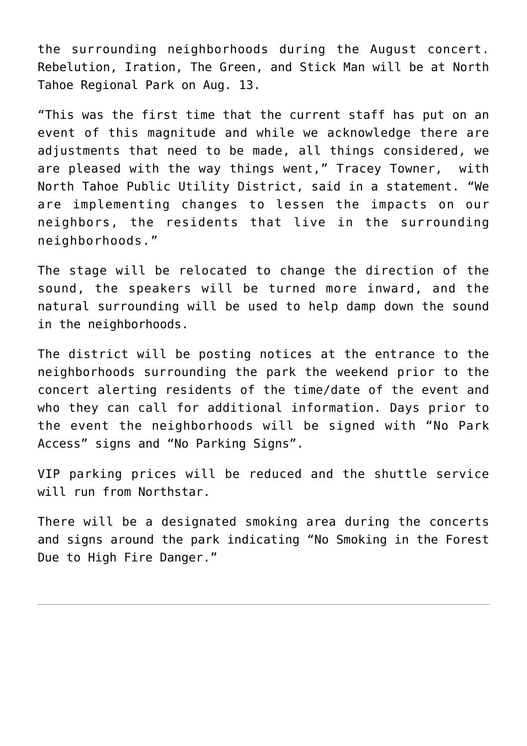the surrounding neighborhoods during the August concert. Rebelution, Iration, The Green, and Stick Man will be at North Tahoe Regional Park on Aug. 13.

"This was the first time that the current staff has put on an event of this magnitude and while we acknowledge there are adjustments that need to be made, all things considered, we are pleased with the way things went," Tracey Towner, with North Tahoe Public Utility District, said in a statement. "We are implementing changes to lessen the impacts on our neighbors, the residents that live in the surrounding neighborhoods."

The stage will be relocated to change the direction of the sound, the speakers will be turned more inward, and the natural surrounding will be used to help damp down the sound in the neighborhoods.

The district will be posting notices at the entrance to the neighborhoods surrounding the park the weekend prior to the concert alerting residents of the time/date of the event and who they can call for additional information. Days prior to the event the neighborhoods will be signed with "No Park Access" signs and "No Parking Signs".

VIP parking prices will be reduced and the shuttle service will run from Northstar.

There will be a designated smoking area during the concerts and signs around the park indicating "No Smoking in the Forest Due to High Fire Danger."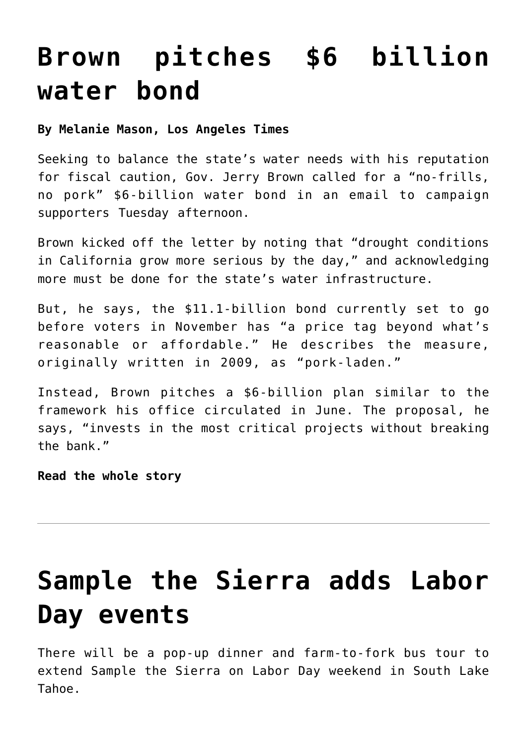### **[Brown pitches \\$6 billion](https://www.laketahoenews.net/2014/08/brown-pitches-6-billion-water-bond/) [water bond](https://www.laketahoenews.net/2014/08/brown-pitches-6-billion-water-bond/)**

#### **By Melanie Mason, Los Angeles Times**

Seeking to balance the state's water needs with his reputation for fiscal caution, Gov. Jerry Brown called for a "no-frills, no pork" \$6-billion water bond in an email to campaign supporters Tuesday afternoon.

Brown kicked off the letter by noting that "drought conditions in California grow more serious by the day," and acknowledging more must be done for the state's water infrastructure.

But, he says, the \$11.1-billion bond currently set to go before voters in November has "a price tag beyond what's reasonable or affordable." He describes the measure, originally written in 2009, as "pork-laden."

Instead, Brown pitches a \$6-billion plan similar to the framework his office circulated in June. The proposal, he says, "invests in the most critical projects without breaking the bank."

**[Read the whole story](http://www.latimes.com/local/political/la-me-pc-brown-water-bond-20140805-story.html)**

# **[Sample the Sierra adds Labor](https://www.laketahoenews.net/2014/08/sample-the-sierra-adds-labor-day-events/) [Day events](https://www.laketahoenews.net/2014/08/sample-the-sierra-adds-labor-day-events/)**

There will be a pop-up dinner and farm-to-fork bus tour to extend Sample the Sierra on Labor Day weekend in South Lake Tahoe.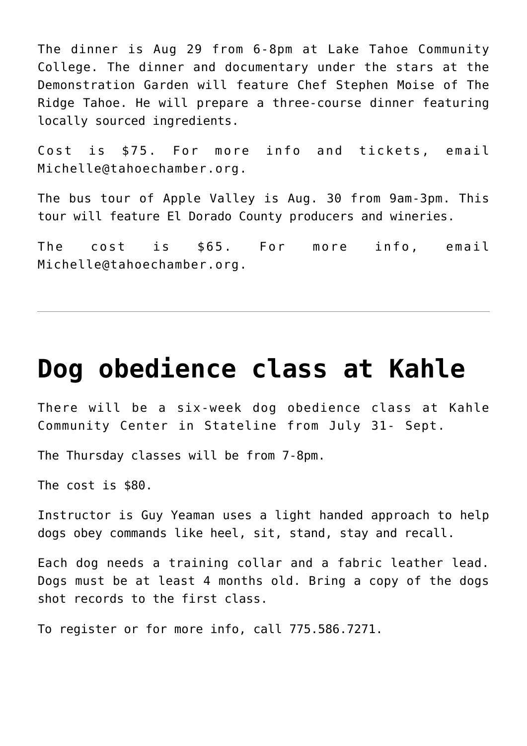The dinner is Aug 29 from 6-8pm at Lake Tahoe Community College. The dinner and documentary under the stars at the Demonstration Garden will feature Chef Stephen Moise of The Ridge Tahoe. He will prepare a three-course dinner featuring locally sourced ingredients.

Cost is \$75. For more info and tickets, email Michelle@tahoechamber.org.

The bus tour of Apple Valley is Aug. 30 from 9am-3pm. This tour will feature El Dorado County producers and wineries.

The cost is \$65. For more info, email Michelle@tahoechamber.org.

#### **[Dog obedience class at Kahle](https://www.laketahoenews.net/2014/08/dog-obedience-class-at-kahle/)**

There will be a six-week dog obedience class at Kahle Community Center in Stateline from July 31- Sept.

The Thursday classes will be from 7-8pm.

The cost is \$80.

Instructor is Guy Yeaman uses a light handed approach to help dogs obey commands like heel, sit, stand, stay and recall.

Each dog needs a training collar and a fabric leather lead. Dogs must be at least 4 months old. Bring a copy of the dogs shot records to the first class.

To register or for more info, call 775.586.7271.